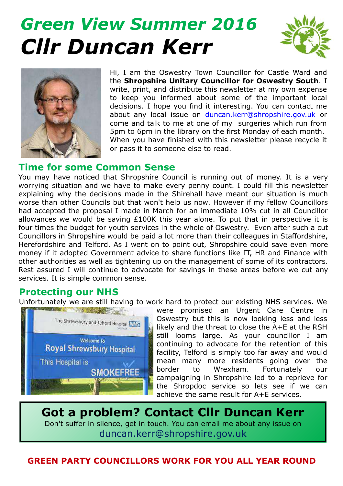# *Green View Summer 2016 Cllr Duncan Kerr*





Hi, I am the Oswestry Town Councillor for Castle Ward and the **Shropshire Unitary Councillor for Oswestry South**. I write, print, and distribute this newsletter at my own expense to keep you informed about some of the important local decisions. I hope you find it interesting. You can contact me about any local issue on duncan.kerr@shropshire.gov.uk or come and talk to me at one of my surgeries which run from 5pm to 6pm in the library on the first Monday of each month. When you have finished with this newsletter please recycle it or pass it to someone else to read.

#### **Time for some Common Sense**

You may have noticed that Shropshire Council is running out of money. It is a very worrying situation and we have to make every penny count. I could fill this newsletter explaining why the decisions made in the Shirehall have meant our situation is much worse than other Councils but that won't help us now. However if my fellow Councillors had accepted the proposal I made in March for an immediate 10% cut in all Councillor allowances we would be saving £100K this year alone. To put that in perspective it is four times the budget for youth services in the whole of Oswestry. Even after such a cut Councillors in Shropshire would be paid a lot more than their colleagues in Staffordshire, Herefordshire and Telford. As I went on to point out, Shropshire could save even more money if it adopted Government advice to share functions like IT, HR and Finance with other authorities as well as tightening up on the management of some of its contractors. Rest assured I will continue to advocate for savings in these areas before we cut any services. It is simple common sense.

### **Protecting our NHS**

Unfortunately we are still having to work hard to protect our existing NHS services. We



were promised an Urgent Care Centre in Oswestry but this is now looking less and less likely and the threat to close the A+E at the RSH still looms large. As your councillor I am continuing to advocate for the retention of this facility, Telford is simply too far away and would mean many more residents going over the border to Wrexham. Fortunately our campaigning in Shropshire led to a reprieve for the Shropdoc service so lets see if we can achieve the same result for A+E services.

**Got a problem? Contact Cllr Duncan Kerr** Don't suffer in silence, get in touch. You can email me about any issue on duncan.kerr@shropshire.gov.uk

**GREEN PARTY COUNCILLORS WORK FOR YOU ALL YEAR ROUND**